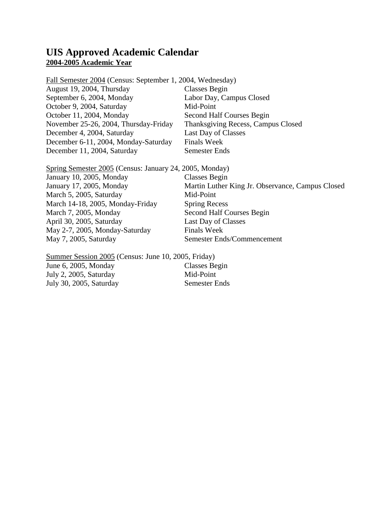#### **UIS Approved Academic Calendar 2004-2005 Academic Year**

Fall Semester 2004 (Census: September 1, 2004, Wednesday) August 19, 2004, Thursday Classes Begin September 6, 2004, Monday Labor Day, Campus Closed October 9, 2004, Saturday Mid-Point October 11, 2004, Monday Second Half Courses Begin November 25-26, 2004, Thursday-Friday Thanksgiving Recess, Campus Closed December 4, 2004, Saturday Last Day of Classes December 6-11, 2004, Monday-Saturday Finals Week December 11, 2004, Saturday Semester Ends

Spring Semester 2005 (Census: January 24, 2005, Monday) January 10, 2005, Monday Classes Begin January 17, 2005, Monday Martin Luther King Jr. Observance, Campus Closed March 5, 2005, Saturday Mid-Point March 14-18, 2005, Monday-Friday Spring Recess March 7, 2005, Monday Second Half Courses Begin April 30, 2005, Saturday Last Day of Classes May 2-7, 2005, Monday-Saturday Finals Week May 7, 2005, Saturday Semester Ends/Commencement

Summer Session 2005 (Census: June 10, 2005, Friday) June 6, 2005, Monday Classes Begin July 2, 2005, Saturday Mid-Point July 30, 2005, Saturday Semester Ends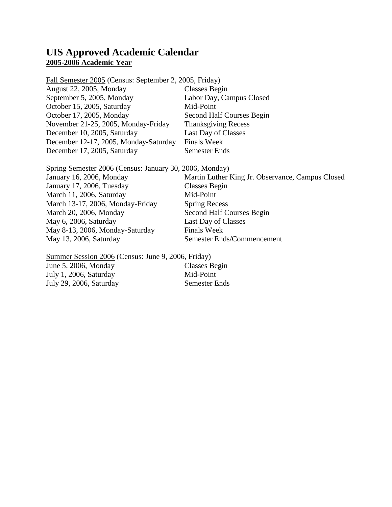### **UIS Approved Academic Calendar 2005-2006 Academic Year**

Fall Semester 2005 (Census: September 2, 2005, Friday) August 22, 2005, Monday Classes Begin September 5, 2005, Monday Labor Day, Campus Closed October 15, 2005, Saturday Mid-Point October 17, 2005, Monday Second Half Courses Begin November 21-25, 2005, Monday-Friday Thanksgiving Recess December 10, 2005, Saturday Last Day of Classes December 12-17, 2005, Monday-Saturday Finals Week December 17, 2005, Saturday Semester Ends

Spring Semester 2006 (Census: January 30, 2006, Monday) January 16, 2006, Monday Martin Luther King Jr. Observance, Campus Closed January 17, 2006, Tuesday Classes Begin March 11, 2006, Saturday Mid-Point March 13-17, 2006, Monday-Friday Spring Recess March 20, 2006, Monday Second Half Courses Begin May 6, 2006, Saturday Last Day of Classes May 8-13, 2006, Monday-Saturday Finals Week May 13, 2006, Saturday Semester Ends/Commencement

Summer Session 2006 (Census: June 9, 2006, Friday) June 5, 2006, Monday Classes Begin July 1, 2006, Saturday Mid-Point July 29, 2006, Saturday Semester Ends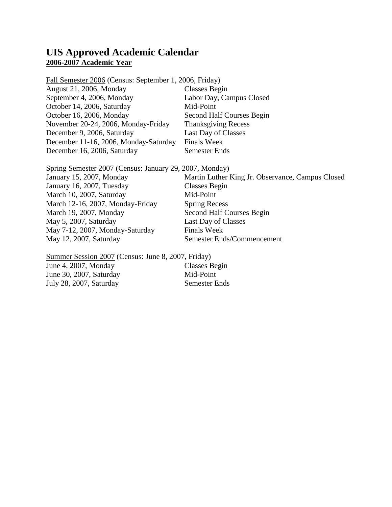### **UIS Approved Academic Calendar 2006-2007 Academic Year**

Fall Semester 2006 (Census: September 1, 2006, Friday) August 21, 2006, Monday Classes Begin September 4, 2006, Monday Labor Day, Campus Closed October 14, 2006, Saturday Mid-Point October 16, 2006, Monday Second Half Courses Begin November 20-24, 2006, Monday-Friday Thanksgiving Recess December 9, 2006, Saturday Last Day of Classes December 11-16, 2006, Monday-Saturday Finals Week December 16, 2006, Saturday Semester Ends

Spring Semester 2007 (Census: January 29, 2007, Monday) January 15, 2007, Monday Martin Luther King Jr. Observance, Campus Closed January 16, 2007, Tuesday Classes Begin March 10, 2007, Saturday Mid-Point March 12-16, 2007, Monday-Friday Spring Recess March 19, 2007, Monday Second Half Courses Begin May 5, 2007, Saturday Last Day of Classes May 7-12, 2007, Monday-Saturday Finals Week May 12, 2007, Saturday Semester Ends/Commencement

Summer Session 2007 (Census: June 8, 2007, Friday) June 4, 2007, Monday Classes Begin June 30, 2007, Saturday Mid-Point July 28, 2007, Saturday Semester Ends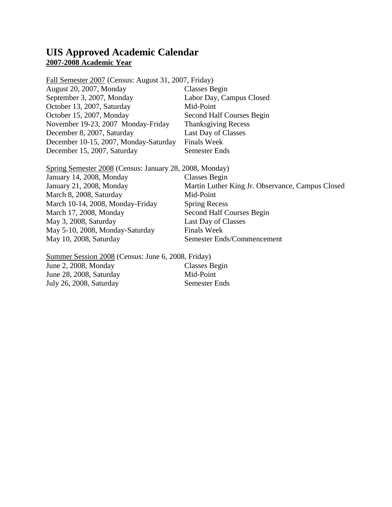#### **UIS Approved Academic Calendar 2007-2008 Academic Year**

Fall Semester 2007 (Census: August 31, 2007, Friday) August 20, 2007, Monday Classes Begin September 3, 2007, Monday Labor Day, Campus Closed October 13, 2007, Saturday Mid-Point October 15, 2007, Monday Second Half Courses Begin November 19-23, 2007 Monday-Friday Thanksgiving Recess December 8, 2007, Saturday Last Day of Classes December 10-15, 2007, Monday-Saturday Finals Week December 15, 2007, Saturday Semester Ends

Spring Semester 2008 (Census: January 28, 2008, Monday) January 14, 2008, Monday Classes Begin January 21, 2008, Monday Martin Luther King Jr. Observance, Campus Closed March 8, 2008, Saturday Mid-Point March 10-14, 2008, Monday-Friday Spring Recess March 17, 2008, Monday Second Half Courses Begin May 3, 2008, Saturday Last Day of Classes May 5-10, 2008, Monday-Saturday Finals Week May 10, 2008, Saturday Semester Ends/Commencement

Summer Session 2008 (Census: June 6, 2008, Friday) June 2, 2008, Monday Classes Begin June 28, 2008, Saturday Mid-Point July 26, 2008, Saturday Semester Ends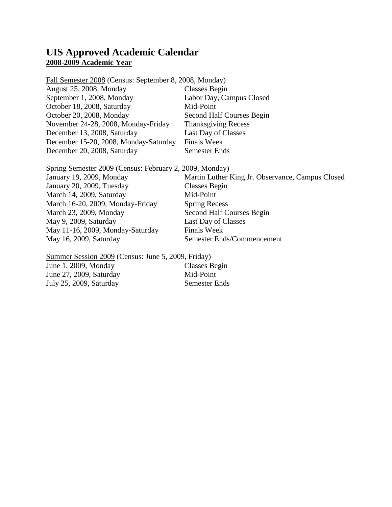### **UIS Approved Academic Calendar 2008-2009 Academic Year**

Fall Semester 2008 (Census: September 8, 2008, Monday) August 25, 2008, Monday Classes Begin September 1, 2008, Monday Labor Day, Campus Closed October 18, 2008, Saturday Mid-Point October 20, 2008, Monday Second Half Courses Begin November 24-28, 2008, Monday-Friday Thanksgiving Recess December 13, 2008, Saturday Last Day of Classes December 15-20, 2008, Monday-Saturday Finals Week December 20, 2008, Saturday Semester Ends

Spring Semester 2009 (Census: February 2, 2009, Monday) January 19, 2009, Monday Martin Luther King Jr. Observance, Campus Closed January 20, 2009, Tuesday Classes Begin March 14, 2009, Saturday Mid-Point March 16-20, 2009, Monday-Friday Spring Recess March 23, 2009, Monday Second Half Courses Begin May 9, 2009, Saturday Last Day of Classes May 11-16, 2009, Monday-Saturday Finals Week May 16, 2009, Saturday Semester Ends/Commencement

Summer Session 2009 (Census: June 5, 2009, Friday) June 1, 2009, Monday Classes Begin June 27, 2009, Saturday Mid-Point July 25, 2009, Saturday Semester Ends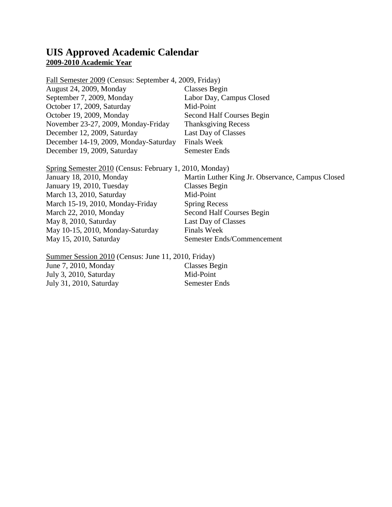### **UIS Approved Academic Calendar 2009-2010 Academic Year**

Fall Semester 2009 (Census: September 4, 2009, Friday) August 24, 2009, Monday Classes Begin September 7, 2009, Monday Labor Day, Campus Closed October 17, 2009, Saturday Mid-Point October 19, 2009, Monday Second Half Courses Begin November 23-27, 2009, Monday-Friday Thanksgiving Recess December 12, 2009, Saturday Last Day of Classes December 14-19, 2009, Monday-Saturday Finals Week December 19, 2009, Saturday Semester Ends

Spring Semester 2010 (Census: February 1, 2010, Monday) January 18, 2010, Monday Martin Luther King Jr. Observance, Campus Closed January 19, 2010, Tuesday Classes Begin March 13, 2010, Saturday Mid-Point March 15-19, 2010, Monday-Friday Spring Recess March 22, 2010, Monday Second Half Courses Begin May 8, 2010, Saturday Last Day of Classes May 10-15, 2010, Monday-Saturday Finals Week May 15, 2010, Saturday Semester Ends/Commencement

Summer Session 2010 (Census: June 11, 2010, Friday) June 7, 2010, Monday Classes Begin July 3, 2010, Saturday Mid-Point July 31, 2010, Saturday Semester Ends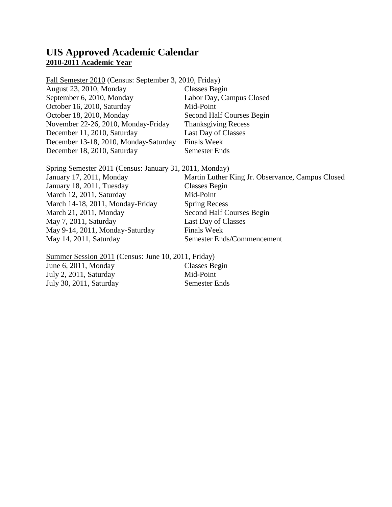### **UIS Approved Academic Calendar 2010-2011 Academic Year**

Fall Semester 2010 (Census: September 3, 2010, Friday) August 23, 2010, Monday Classes Begin September 6, 2010, Monday Labor Day, Campus Closed October 16, 2010, Saturday Mid-Point October 18, 2010, Monday Second Half Courses Begin November 22-26, 2010, Monday-Friday Thanksgiving Recess December 11, 2010, Saturday Last Day of Classes December 13-18, 2010, Monday-Saturday Finals Week December 18, 2010, Saturday Semester Ends

Spring Semester 2011 (Census: January 31, 2011, Monday) January 17, 2011, Monday Martin Luther King Jr. Observance, Campus Closed January 18, 2011, Tuesday Classes Begin March 12, 2011, Saturday Mid-Point March 14-18, 2011, Monday-Friday Spring Recess March 21, 2011, Monday Second Half Courses Begin May 7, 2011, Saturday Last Day of Classes May 9-14, 2011, Monday-Saturday Finals Week May 14, 2011, Saturday Semester Ends/Commencement

Summer Session 2011 (Census: June 10, 2011, Friday) June 6, 2011, Monday Classes Begin July 2, 2011, Saturday Mid-Point July 30, 2011, Saturday Semester Ends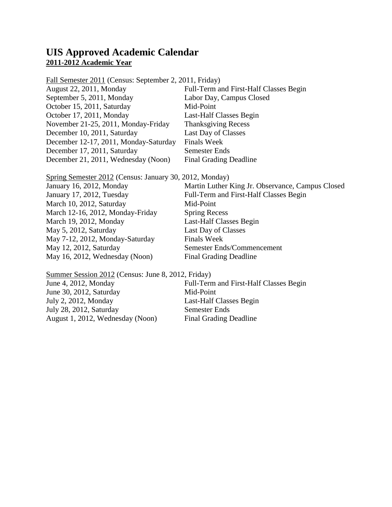### **UIS Approved Academic Calendar 2011-2012 Academic Year**

Fall Semester 2011 (Census: September 2, 2011, Friday) August 22, 2011, Monday Full-Term and First-Half Classes Begin September 5, 2011, Monday Labor Day, Campus Closed October 15, 2011, Saturday Mid-Point October 17, 2011, Monday Last-Half Classes Begin November 21-25, 2011, Monday-Friday Thanksgiving Recess December 10, 2011, Saturday Last Day of Classes December 12-17, 2011, Monday-Saturday Finals Week December 17, 2011, Saturday Semester Ends December 21, 2011, Wednesday (Noon) Final Grading Deadline

Spring Semester 2012 (Census: January 30, 2012, Monday) January 16, 2012, Monday Martin Luther King Jr. Observance, Campus Closed

| January 17, 2012, Tuesday        | Full-Term and First-Half Classes Begin |
|----------------------------------|----------------------------------------|
| March 10, 2012, Saturday         | Mid-Point                              |
| March 12-16, 2012, Monday-Friday | <b>Spring Recess</b>                   |
| March 19, 2012, Monday           | Last-Half Classes Begin                |
| May 5, 2012, Saturday            | Last Day of Classes                    |
| May 7-12, 2012, Monday-Saturday  | <b>Finals Week</b>                     |
| May 12, 2012, Saturday           | Semester Ends/Commencement             |
| May 16, 2012, Wednesday (Noon)   | <b>Final Grading Deadline</b>          |

Summer Session 2012 (Census: June 8, 2012, Friday) June 4, 2012, Monday Full-Term and First-Half Classes Begin June 30, 2012, Saturday Mid-Point July 2, 2012, Monday Last-Half Classes Begin July 28, 2012, Saturday Semester Ends August 1, 2012, Wednesday (Noon) Final Grading Deadline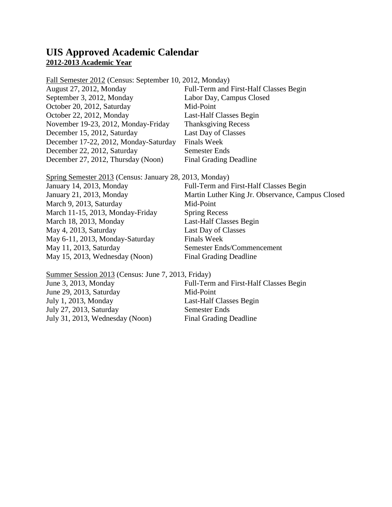### **UIS Approved Academic Calendar 2012-2013 Academic Year**

Fall Semester 2012 (Census: September 10, 2012, Monday) August 27, 2012, Monday Full-Term and First-Half Classes Begin September 3, 2012, Monday Labor Day, Campus Closed October 20, 2012, Saturday Mid-Point October 22, 2012, Monday Last-Half Classes Begin November 19-23, 2012, Monday-Friday Thanksgiving Recess December 15, 2012, Saturday Last Day of Classes December 17-22, 2012, Monday-Saturday Finals Week December 22, 2012, Saturday Semester Ends December 27, 2012, Thursday (Noon) Final Grading Deadline

Spring Semester 2013 (Census: January 28, 2013, Monday) January 14, 2013, Monday Full-Term and First-Half Classes Begin January 21, 2013, Monday Martin Luther King Jr. Observance, Campus Closed March 9, 2013, Saturday Mid-Point March 11-15, 2013, Monday-Friday Spring Recess March 18, 2013, Monday Last-Half Classes Begin May 4, 2013, Saturday Last Day of Classes May 6-11, 2013, Monday-Saturday Finals Week May 11, 2013, Saturday Semester Ends/Commencement May 15, 2013, Wednesday (Noon) Final Grading Deadline

Summer Session 2013 (Census: June 7, 2013, Friday) June 3, 2013, Monday Full-Term and First-Half Classes Begin June 29, 2013, Saturday Mid-Point July 1, 2013, Monday Last-Half Classes Begin July 27, 2013, Saturday Semester Ends July 31, 2013, Wednesday (Noon) Final Grading Deadline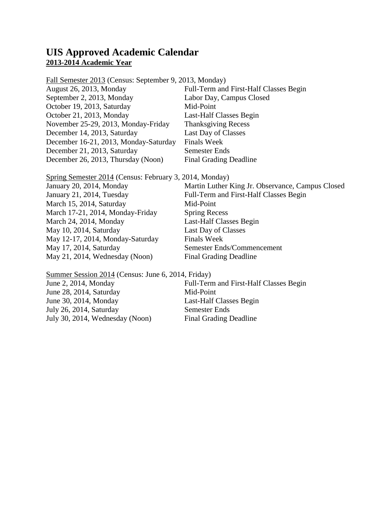### **UIS Approved Academic Calendar 2013-2014 Academic Year**

Fall Semester 2013 (Census: September 9, 2013, Monday) August 26, 2013, Monday Full-Term and First-Half Classes Begin September 2, 2013, Monday Labor Day, Campus Closed October 19, 2013, Saturday Mid-Point October 21, 2013, Monday Last-Half Classes Begin November 25-29, 2013, Monday-Friday Thanksgiving Recess December 14, 2013, Saturday Last Day of Classes December 16-21, 2013, Monday-Saturday Finals Week December 21, 2013, Saturday Semester Ends December 26, 2013, Thursday (Noon) Final Grading Deadline

Spring Semester 2014 (Census: February 3, 2014, Monday) January 20, 2014, Monday Martin Luther King Jr. Observance, Campus Closed January 21, 2014, Tuesday Full-Term and First-Half Classes Begin March 15, 2014, Saturday Mid-Point March 17-21, 2014, Monday-Friday Spring Recess March 24, 2014, Monday Last-Half Classes Begin May 10, 2014, Saturday Last Day of Classes May 12-17, 2014, Monday-Saturday Finals Week May 17, 2014, Saturday Semester Ends/Commencement May 21, 2014, Wednesday (Noon) Final Grading Deadline

Summer Session 2014 (Census: June 6, 2014, Friday) June 2, 2014, Monday Full-Term and First-Half Classes Begin June 28, 2014, Saturday Mid-Point June 30, 2014, Monday Last-Half Classes Begin July 26, 2014, Saturday Semester Ends July 30, 2014, Wednesday (Noon) Final Grading Deadline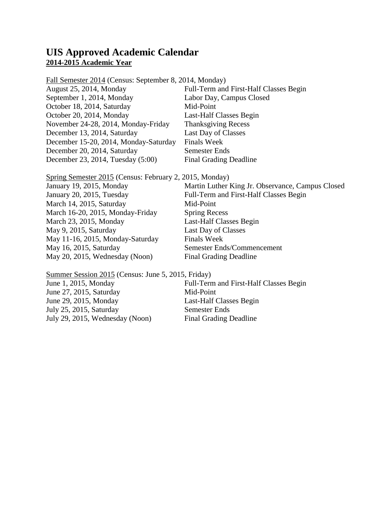### **UIS Approved Academic Calendar 2014-2015 Academic Year**

Fall Semester 2014 (Census: September 8, 2014, Monday) August 25, 2014, Monday Full-Term and First-Half Classes Begin September 1, 2014, Monday Labor Day, Campus Closed October 18, 2014, Saturday Mid-Point October 20, 2014, Monday Last-Half Classes Begin November 24-28, 2014, Monday-Friday Thanksgiving Recess December 13, 2014, Saturday Last Day of Classes December 15-20, 2014, Monday-Saturday Finals Week December 20, 2014, Saturday Semester Ends December 23, 2014, Tuesday (5:00) Final Grading Deadline

Spring Semester 2015 (Census: February 2, 2015, Monday) January 19, 2015, Monday Martin Luther King Jr. Observance, Campus Closed January 20, 2015, Tuesday Full-Term and First-Half Classes Begin March 14, 2015, Saturday Mid-Point March 16-20, 2015, Monday-Friday Spring Recess March 23, 2015, Monday Last-Half Classes Begin May 9, 2015, Saturday Last Day of Classes May 11-16, 2015, Monday-Saturday Finals Week May 16, 2015, Saturday Semester Ends/Commencement May 20, 2015, Wednesday (Noon) Final Grading Deadline

Summer Session 2015 (Census: June 5, 2015, Friday) June 1, 2015, Monday Full-Term and First-Half Classes Begin June 27, 2015, Saturday Mid-Point June 29, 2015, Monday Last-Half Classes Begin July 25, 2015, Saturday Semester Ends July 29, 2015, Wednesday (Noon) Final Grading Deadline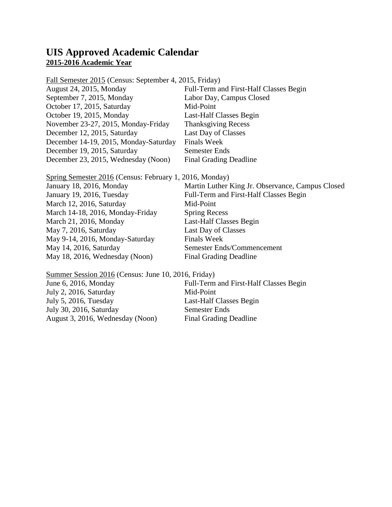### **UIS Approved Academic Calendar 2015-2016 Academic Year**

Fall Semester 2015 (Census: September 4, 2015, Friday) August 24, 2015, Monday Full-Term and First-Half Classes Begin September 7, 2015, Monday Labor Day, Campus Closed October 17, 2015, Saturday Mid-Point October 19, 2015, Monday Last-Half Classes Begin November 23-27, 2015, Monday-Friday Thanksgiving Recess December 12, 2015, Saturday Last Day of Classes December 14-19, 2015, Monday-Saturday Finals Week December 19, 2015, Saturday Semester Ends December 23, 2015, Wednesday (Noon) Final Grading Deadline

Spring Semester 2016 (Census: February 1, 2016, Monday) January 18, 2016, Monday Martin Luther King Jr. Observance, Campus Closed January 19, 2016, Tuesday Full-Term and First-Half Classes Begin March 12, 2016, Saturday Mid-Point March 14-18, 2016, Monday-Friday Spring Recess March 21, 2016, Monday Last-Half Classes Begin May 7, 2016, Saturday Last Day of Classes May 9-14, 2016, Monday-Saturday Finals Week May 14, 2016, Saturday Semester Ends/Commencement May 18, 2016, Wednesday (Noon) Final Grading Deadline

Summer Session 2016 (Census: June 10, 2016, Friday) June 6, 2016, Monday Full-Term and First-Half Classes Begin July 2, 2016, Saturday Mid-Point July 5, 2016, Tuesday Last-Half Classes Begin July 30, 2016, Saturday Semester Ends August 3, 2016, Wednesday (Noon) Final Grading Deadline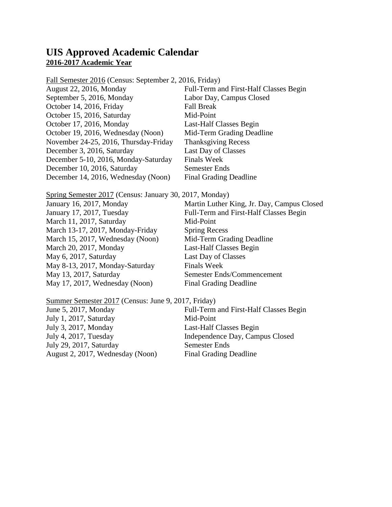### **UIS Approved Academic Calendar 2016-2017 Academic Year**

Fall Semester 2016 (Census: September 2, 2016, Friday)

| August 22, 2016, Monday               | Full-Term and First-Half Classes Begin |
|---------------------------------------|----------------------------------------|
| September 5, 2016, Monday             | Labor Day, Campus Closed               |
| October 14, 2016, Friday              | <b>Fall Break</b>                      |
| October 15, 2016, Saturday            | Mid-Point                              |
| October 17, 2016, Monday              | Last-Half Classes Begin                |
| October 19, 2016, Wednesday (Noon)    | Mid-Term Grading Deadline              |
| November 24-25, 2016, Thursday-Friday | <b>Thanksgiving Recess</b>             |
| December 3, 2016, Saturday            | Last Day of Classes                    |
| December 5-10, 2016, Monday-Saturday  | <b>Finals Week</b>                     |
| December 10, 2016, Saturday           | <b>Semester Ends</b>                   |
| December 14, 2016, Wednesday (Noon)   | <b>Final Grading Deadline</b>          |

Spring Semester 2017 (Census: January 30, 2017, Monday)

| January 16, 2017, Monday         | Martin Luther King, Jr. Day, Campus Closed |
|----------------------------------|--------------------------------------------|
| January 17, 2017, Tuesday        | Full-Term and First-Half Classes Begin     |
| March 11, 2017, Saturday         | Mid-Point                                  |
| March 13-17, 2017, Monday-Friday | <b>Spring Recess</b>                       |
| March 15, 2017, Wednesday (Noon) | Mid-Term Grading Deadline                  |
| March 20, 2017, Monday           | Last-Half Classes Begin                    |
| May 6, 2017, Saturday            | Last Day of Classes                        |
| May 8-13, 2017, Monday-Saturday  | <b>Finals Week</b>                         |
| May 13, 2017, Saturday           | Semester Ends/Commencement                 |
| May 17, 2017, Wednesday (Noon)   | <b>Final Grading Deadline</b>              |
|                                  |                                            |

| Summer Semester 2017 (Census: June 9, 2017, Friday) |                                        |
|-----------------------------------------------------|----------------------------------------|
| June 5, 2017, Monday                                | Full-Term and First-Half Classes Begin |
| July 1, 2017, Saturday                              | Mid-Point                              |
| July 3, 2017, Monday                                | Last-Half Classes Begin                |
| July 4, 2017, Tuesday                               | Independence Day, Campus Closed        |
| July 29, 2017, Saturday                             | <b>Semester Ends</b>                   |
| August 2, 2017, Wednesday (Noon)                    | <b>Final Grading Deadline</b>          |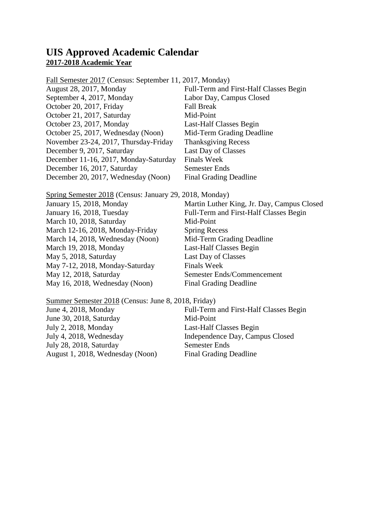### **UIS Approved Academic Calendar 2017-2018 Academic Year**

Fall Semester 2017 (Census: September 11, 2017, Monday)

| August 28, 2017, Monday               | Full-Term and First-Half Classes Begin |
|---------------------------------------|----------------------------------------|
| September 4, 2017, Monday             | Labor Day, Campus Closed               |
| October 20, 2017, Friday              | <b>Fall Break</b>                      |
| October 21, 2017, Saturday            | Mid-Point                              |
| October 23, 2017, Monday              | Last-Half Classes Begin                |
| October 25, 2017, Wednesday (Noon)    | Mid-Term Grading Deadline              |
| November 23-24, 2017, Thursday-Friday | <b>Thanksgiving Recess</b>             |
| December 9, 2017, Saturday            | Last Day of Classes                    |
| December 11-16, 2017, Monday-Saturday | <b>Finals Week</b>                     |
| December 16, 2017, Saturday           | Semester Ends                          |
| December 20, 2017, Wednesday (Noon)   | <b>Final Grading Deadline</b>          |

Spring Semester 2018 (Census: January 29, 2018, Monday)

| January 15, 2018, Monday         | Martin Luther King, Jr. Day, Campus Closed |
|----------------------------------|--------------------------------------------|
| January 16, 2018, Tuesday        | Full-Term and First-Half Classes Begin     |
| March 10, 2018, Saturday         | Mid-Point                                  |
| March 12-16, 2018, Monday-Friday | <b>Spring Recess</b>                       |
| March 14, 2018, Wednesday (Noon) | Mid-Term Grading Deadline                  |
| March 19, 2018, Monday           | Last-Half Classes Begin                    |
| May 5, 2018, Saturday            | Last Day of Classes                        |
| May 7-12, 2018, Monday-Saturday  | <b>Finals Week</b>                         |
| May 12, 2018, Saturday           | Semester Ends/Commencement                 |
| May 16, 2018, Wednesday (Noon)   | <b>Final Grading Deadline</b>              |
|                                  |                                            |

| Summer Semester 2018 (Census: June 8, 2018, Friday) |                                        |  |
|-----------------------------------------------------|----------------------------------------|--|
| June 4, 2018, Monday                                | Full-Term and First-Half Classes Begin |  |
| June 30, 2018, Saturday                             | Mid-Point                              |  |
| July 2, 2018, Monday                                | Last-Half Classes Begin                |  |
| July 4, 2018, Wednesday                             | Independence Day, Campus Closed        |  |
| July 28, 2018, Saturday                             | <b>Semester Ends</b>                   |  |
| August 1, 2018, Wednesday (Noon)                    | <b>Final Grading Deadline</b>          |  |
|                                                     |                                        |  |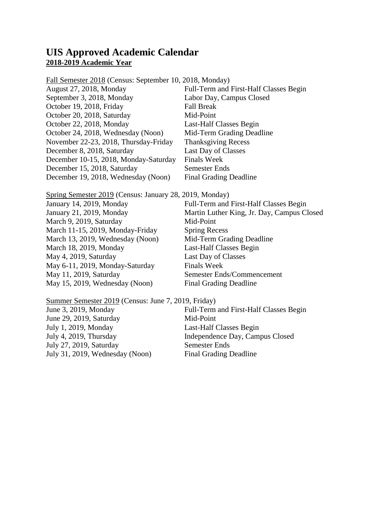### **UIS Approved Academic Calendar 2018-2019 Academic Year**

Fall Semester 2018 (Census: September 10, 2018, Monday)

| August 27, 2018, Monday               | Full-Term and First-Half Classes Begin |
|---------------------------------------|----------------------------------------|
| September 3, 2018, Monday             | Labor Day, Campus Closed               |
| October 19, 2018, Friday              | <b>Fall Break</b>                      |
| October 20, 2018, Saturday            | Mid-Point                              |
| October 22, 2018, Monday              | Last-Half Classes Begin                |
| October 24, 2018, Wednesday (Noon)    | Mid-Term Grading Deadline              |
| November 22-23, 2018, Thursday-Friday | <b>Thanksgiving Recess</b>             |
| December 8, 2018, Saturday            | Last Day of Classes                    |
| December 10-15, 2018, Monday-Saturday | <b>Finals Week</b>                     |
| December 15, 2018, Saturday           | Semester Ends                          |
| December 19, 2018, Wednesday (Noon)   | <b>Final Grading Deadline</b>          |

Spring Semester 2019 (Census: January 28, 2019, Monday)

| January 14, 2019, Monday         | Full-Term and First-Half Classes Begin     |
|----------------------------------|--------------------------------------------|
| January 21, 2019, Monday         | Martin Luther King, Jr. Day, Campus Closed |
| March 9, 2019, Saturday          | Mid-Point                                  |
| March 11-15, 2019, Monday-Friday | <b>Spring Recess</b>                       |
| March 13, 2019, Wednesday (Noon) | Mid-Term Grading Deadline                  |
| March 18, 2019, Monday           | Last-Half Classes Begin                    |
| May 4, 2019, Saturday            | Last Day of Classes                        |
| May 6-11, 2019, Monday-Saturday  | <b>Finals Week</b>                         |
| May 11, 2019, Saturday           | Semester Ends/Commencement                 |
| May 15, 2019, Wednesday (Noon)   | <b>Final Grading Deadline</b>              |

| Summer Semester 2019 (Census: June 7, 2019, Friday) |                                        |
|-----------------------------------------------------|----------------------------------------|
| June 3, 2019, Monday                                | Full-Term and First-Half Classes Begin |
| June 29, 2019, Saturday                             | Mid-Point                              |
| July 1, 2019, Monday                                | Last-Half Classes Begin                |
| July 4, 2019, Thursday                              | Independence Day, Campus Closed        |
| July 27, 2019, Saturday                             | <b>Semester Ends</b>                   |
| July 31, 2019, Wednesday (Noon)                     | <b>Final Grading Deadline</b>          |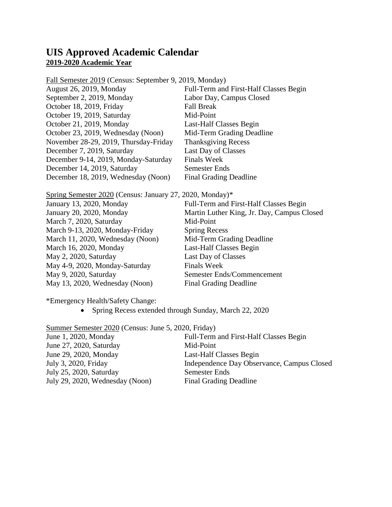### **UIS Approved Academic Calendar 2019-2020 Academic Year**

Fall Semester 2019 (Census: September 9, 2019, Monday)

| August 26, 2019, Monday               | Full-Term and First-Half Classes Begin |
|---------------------------------------|----------------------------------------|
| September 2, 2019, Monday             | Labor Day, Campus Closed               |
| October 18, 2019, Friday              | <b>Fall Break</b>                      |
| October 19, 2019, Saturday            | Mid-Point                              |
| October 21, 2019, Monday              | Last-Half Classes Begin                |
| October 23, 2019, Wednesday (Noon)    | Mid-Term Grading Deadline              |
| November 28-29, 2019, Thursday-Friday | <b>Thanksgiving Recess</b>             |
| December 7, 2019, Saturday            | Last Day of Classes                    |
| December 9-14, 2019, Monday-Saturday  | <b>Finals Week</b>                     |
| December 14, 2019, Saturday           | Semester Ends                          |
| December 18, 2019, Wednesday (Noon)   | <b>Final Grading Deadline</b>          |

Spring Semester 2020 (Census: January 27, 2020, Monday)\*

| January 13, 2020, Monday         | Full-Term and First-Half Classes Begin     |
|----------------------------------|--------------------------------------------|
| January 20, 2020, Monday         | Martin Luther King, Jr. Day, Campus Closed |
| March 7, 2020, Saturday          | Mid-Point                                  |
| March 9-13, 2020, Monday-Friday  | <b>Spring Recess</b>                       |
| March 11, 2020, Wednesday (Noon) | Mid-Term Grading Deadline                  |
| March 16, 2020, Monday           | Last-Half Classes Begin                    |
| May 2, 2020, Saturday            | Last Day of Classes                        |
| May 4-9, 2020, Monday-Saturday   | <b>Finals Week</b>                         |
| May 9, 2020, Saturday            | Semester Ends/Commencement                 |
| May 13, 2020, Wednesday (Noon)   | <b>Final Grading Deadline</b>              |
|                                  |                                            |

\*Emergency Health/Safety Change:

• Spring Recess extended through Sunday, March 22, 2020

Summer Semester 2020 (Census: June 5, 2020, Friday)<br>June 1, 2020, Monday Full-Term Full-Term and First-Half Classes Begin June 27, 2020, Saturday Mid-Point June 29, 2020, Monday Last-Half Classes Begin July 3, 2020, Friday Independence Day Observance, Campus Closed July 25, 2020, Saturday Semester Ends July 29, 2020, Wednesday (Noon) Final Grading Deadline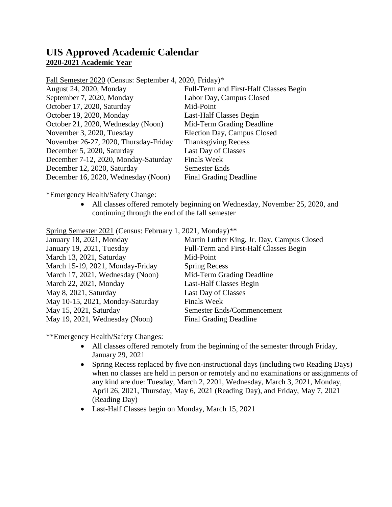## **UIS Approved Academic Calendar 2020-2021 Academic Year**

Fall Semester 2020 (Census: September 4, 2020, Friday)\*

| August 24, 2020, Monday               | Full-Term and First-Half Classes Begin |
|---------------------------------------|----------------------------------------|
| September 7, 2020, Monday             | Labor Day, Campus Closed               |
| October 17, 2020, Saturday            | Mid-Point                              |
| October 19, 2020, Monday              | Last-Half Classes Begin                |
| October 21, 2020, Wednesday (Noon)    | Mid-Term Grading Deadline              |
| November 3, 2020, Tuesday             | Election Day, Campus Closed            |
| November 26-27, 2020, Thursday-Friday | <b>Thanksgiving Recess</b>             |
| December 5, 2020, Saturday            | Last Day of Classes                    |
| December 7-12, 2020, Monday-Saturday  | <b>Finals Week</b>                     |
| December 12, 2020, Saturday           | <b>Semester Ends</b>                   |
| December 16, 2020, Wednesday (Noon)   | <b>Final Grading Deadline</b>          |

\*Emergency Health/Safety Change:

• All classes offered remotely beginning on Wednesday, November 25, 2020, and continuing through the end of the fall semester

Spring Semester 2021 (Census: February 1, 2021, Monday)\*\*

| Martin Luther King, Jr. Day, Campus Closed |
|--------------------------------------------|
| Full-Term and First-Half Classes Begin     |
| Mid-Point                                  |
| <b>Spring Recess</b>                       |
| Mid-Term Grading Deadline                  |
| Last-Half Classes Begin                    |
| Last Day of Classes                        |
| <b>Finals Week</b>                         |
| Semester Ends/Commencement                 |
| <b>Final Grading Deadline</b>              |
|                                            |

\*\*Emergency Health/Safety Changes:

- All classes offered remotely from the beginning of the semester through Friday, January 29, 2021
- Spring Recess replaced by five non-instructional days (including two Reading Days) when no classes are held in person or remotely and no examinations or assignments of any kind are due: Tuesday, March 2, 2201, Wednesday, March 3, 2021, Monday, April 26, 2021, Thursday, May 6, 2021 (Reading Day), and Friday, May 7, 2021 (Reading Day)
- Last-Half Classes begin on Monday, March 15, 2021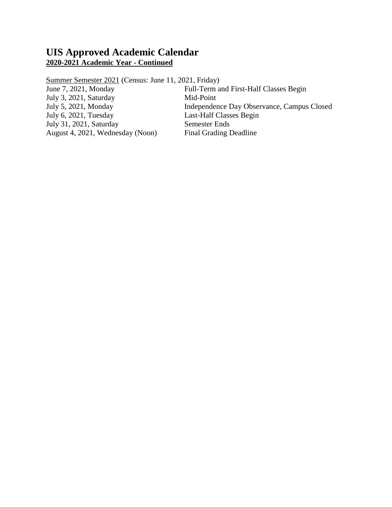### **UIS Approved Academic Calendar 2020-2021 Academic Year - Continued**

Summer Semester 2021 (Census: June 11, 2021, Friday)

July 3, 2021, Saturday Mid-Point<br>July 5, 2021, Monday Independent July 6, 2021, Tuesday Last-Half Classes Begin July 31, 2021, Saturday Semester Ends August 4, 2021, Wednesday (Noon) Final Grading Deadline

June 7, 2021, Monday Full-Term and First-Half Classes Begin July 5, 2021, Monday Independence Day Observance, Campus Closed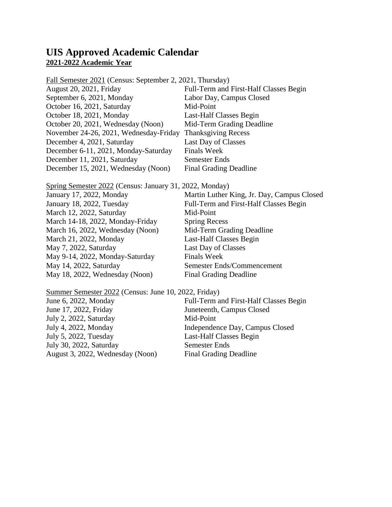### **UIS Approved Academic Calendar 2021-2022 Academic Year**

| Fall Semester 2021 (Census: September 2, 2021, Thursday) |  |
|----------------------------------------------------------|--|
| Full-Term and First-Half Classes Begin                   |  |
| Labor Day, Campus Closed                                 |  |
| Mid-Point                                                |  |
| Last-Half Classes Begin                                  |  |
| Mid-Term Grading Deadline                                |  |
| <b>Thanksgiving Recess</b>                               |  |
| Last Day of Classes                                      |  |
| <b>Finals Week</b>                                       |  |
| Semester Ends                                            |  |
| <b>Final Grading Deadline</b>                            |  |
|                                                          |  |

Spring Semester 2022 (Census: January 31, 2022, Monday) January 17, 2022, Monday Martin Luther King, Jr. Day, Campus Closed January 18, 2022, Tuesday Full-Term and First-Half Classes Begin March 12, 2022, Saturday Mid-Point March 14-18, 2022, Monday-Friday Spring Recess<br>March 16, 2022, Wednesday (Noon) Mid-Term Grading Deadline March 16, 2022, Wednesday (Noon) March 21, 2022, Monday Last-Half Classes Begin May 7, 2022, Saturday Last Day of Classes May 9-14, 2022, Monday-Saturday Finals Week May 14, 2022, Saturday Semester Ends/Commencement

May 18, 2022, Wednesday (Noon) Final Grading Deadline

#### Summer Semester 2022 (Census: June 10, 2022, Friday)

| June 6, 2022, Monday             | Full-Term and First-Half Classes Begin |
|----------------------------------|----------------------------------------|
| June 17, 2022, Friday            | Juneteenth, Campus Closed              |
| July 2, 2022, Saturday           | Mid-Point                              |
| July 4, 2022, Monday             | Independence Day, Campus Closed        |
| July 5, 2022, Tuesday            | Last-Half Classes Begin                |
| July 30, 2022, Saturday          | <b>Semester Ends</b>                   |
| August 3, 2022, Wednesday (Noon) | <b>Final Grading Deadline</b>          |
|                                  |                                        |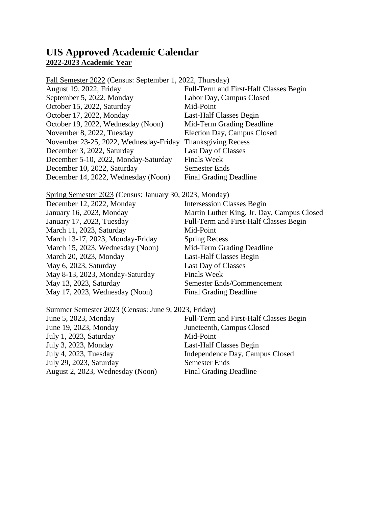### **UIS Approved Academic Calendar 2022-2023 Academic Year**

| Fall Semester 2022 (Census: September 1, 2022, Thursday) |  |
|----------------------------------------------------------|--|
| Full-Term and First-Half Classes Begin                   |  |
| Labor Day, Campus Closed                                 |  |
| Mid-Point                                                |  |
| Last-Half Classes Begin                                  |  |
| Mid-Term Grading Deadline                                |  |
| Election Day, Campus Closed                              |  |
| <b>Thanksgiving Recess</b>                               |  |
| Last Day of Classes                                      |  |
| <b>Finals Week</b>                                       |  |
| Semester Ends                                            |  |
| <b>Final Grading Deadline</b>                            |  |
|                                                          |  |

Spring Semester 2023 (Census: January 30, 2023, Monday)

| <b>Intersession Classes Begin</b>          |
|--------------------------------------------|
| Martin Luther King, Jr. Day, Campus Closed |
| Full-Term and First-Half Classes Begin     |
| Mid-Point                                  |
| <b>Spring Recess</b>                       |
| Mid-Term Grading Deadline                  |
| Last-Half Classes Begin                    |
| Last Day of Classes                        |
| <b>Finals Week</b>                         |
| Semester Ends/Commencement                 |
| <b>Final Grading Deadline</b>              |
|                                            |

Summer Semester 2023 (Census: June 9, 2023, Friday)

| June 5, 2023, Monday             | Full-Term and First-Half Classes Begin |
|----------------------------------|----------------------------------------|
| June 19, 2023, Monday            | Juneteenth, Campus Closed              |
| July 1, 2023, Saturday           | Mid-Point                              |
| July 3, 2023, Monday             | Last-Half Classes Begin                |
| July 4, 2023, Tuesday            | Independence Day, Campus Closed        |
| July 29, 2023, Saturday          | <b>Semester Ends</b>                   |
| August 2, 2023, Wednesday (Noon) | <b>Final Grading Deadline</b>          |
|                                  |                                        |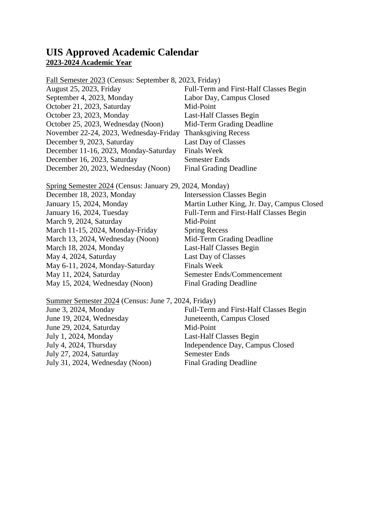### **UIS Approved Academic Calendar 2023-2024 Academic Year**

| Fall Semester 2023 (Census: September 8, 2023, Friday) |                                        |
|--------------------------------------------------------|----------------------------------------|
| August 25, 2023, Friday                                | Full-Term and First-Half Classes Begin |
| September 4, 2023, Monday                              | Labor Day, Campus Closed               |
| October 21, 2023, Saturday                             | Mid-Point                              |
| October 23, 2023, Monday                               | Last-Half Classes Begin                |
| October 25, 2023, Wednesday (Noon)                     | Mid-Term Grading Deadline              |
| November 22-24, 2023, Wednesday-Friday                 | <b>Thanksgiving Recess</b>             |
| December 9, 2023, Saturday                             | Last Day of Classes                    |
| December 11-16, 2023, Monday-Saturday                  | <b>Finals Week</b>                     |
| December 16, 2023, Saturday                            | Semester Ends                          |
| December 20, 2023, Wednesday (Noon)                    | <b>Final Grading Deadline</b>          |
|                                                        |                                        |

| Spring Semester 2024 (Census: January 29, 2024, Monday) |
|---------------------------------------------------------|
| <b>Intersession Classes Begin</b>                       |
| Martin Luther King, Jr. Day, Campus Closed              |
| Full-Term and First-Half Classes Begin                  |
| Mid-Point                                               |
| <b>Spring Recess</b>                                    |
| Mid-Term Grading Deadline                               |
| Last-Half Classes Begin                                 |
| Last Day of Classes                                     |
| <b>Finals Week</b>                                      |
| Semester Ends/Commencement                              |
| <b>Final Grading Deadline</b>                           |
|                                                         |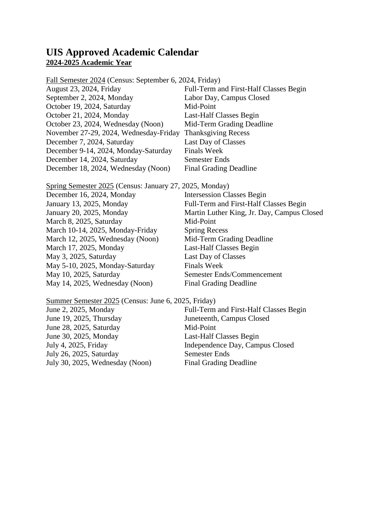## **UIS Approved Academic Calendar 2024-2025 Academic Year**

| Fall Semester 2024 (Census: September 6, 2024, Friday) |                                        |
|--------------------------------------------------------|----------------------------------------|
| August 23, 2024, Friday                                | Full-Term and First-Half Classes Begin |
| September 2, 2024, Monday                              | Labor Day, Campus Closed               |
| October 19, 2024, Saturday                             | Mid-Point                              |
| October 21, 2024, Monday                               | Last-Half Classes Begin                |
| October 23, 2024, Wednesday (Noon)                     | Mid-Term Grading Deadline              |
| November 27-29, 2024, Wednesday-Friday                 | <b>Thanksgiving Recess</b>             |
| December 7, 2024, Saturday                             | Last Day of Classes                    |
| December 9-14, 2024, Monday-Saturday                   | <b>Finals Week</b>                     |
| December 14, 2024, Saturday                            | Semester Ends                          |
| December 18, 2024, Wednesday (Noon)                    | <b>Final Grading Deadline</b>          |
|                                                        |                                        |

| Spring Semester 2025 (Census: January 27, 2025, Monday) |
|---------------------------------------------------------|
| <b>Intersession Classes Begin</b>                       |
| Full-Term and First-Half Classes Begin                  |
| Martin Luther King, Jr. Day, Campus Closed              |
| Mid-Point                                               |
| <b>Spring Recess</b>                                    |
| Mid-Term Grading Deadline                               |
| Last-Half Classes Begin                                 |
| Last Day of Classes                                     |
| <b>Finals Week</b>                                      |
| Semester Ends/Commencement                              |
| <b>Final Grading Deadline</b>                           |
|                                                         |

Summer Semester 2025 (Census: June 6, 2025, Friday)<br>June 2, 2025, Monday Full-Term June 2, 2025, Monday Full-Term and First-Half Classes Begin June 19, 2025, Thursday Juneteenth, Campus Closed June 19, 2025, Thursday<br>
June 28, 2025, Saturday<br>
June 30, 2025, Monday<br>
Last-Half (

July 26, 2025, Saturday Semester Ends July 30, 2025, Wednesday (Noon) Final Grading Deadline

June 30, 2025, Monday Last-Half Classes Begin July 4, 2025, Friday Independence Day, Campus Closed